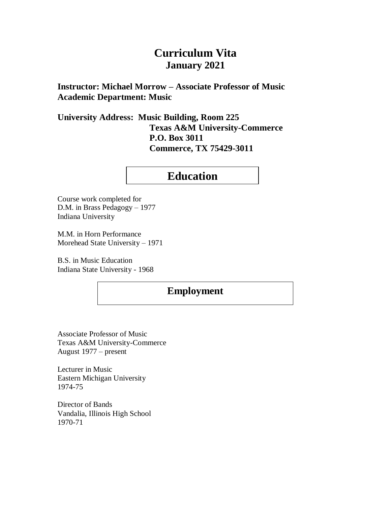# **Curriculum Vita January 2021**

**Instructor: Michael Morrow – Associate Professor of Music Academic Department: Music**

**University Address: Music Building, Room 225 Texas A&M University-Commerce P.O. Box 3011 Commerce, TX 75429-3011**

# **Education**

Course work completed for D.M. in Brass Pedagogy – 1977 Indiana University

M.M. in Horn Performance Morehead State University – 1971

B.S. in Music Education Indiana State University - 1968

## **Employment**

Associate Professor of Music Texas A&M University-Commerce August 1977 – present

Lecturer in Music Eastern Michigan University 1974-75

Director of Bands Vandalia, Illinois High School 1970-71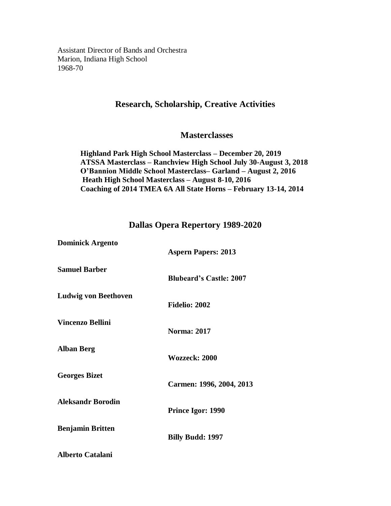Assistant Director of Bands and Orchestra Marion, Indiana High School 1968-70

## **Research, Scholarship, Creative Activities**

## **Masterclasses**

**Highland Park High School Masterclass – December 20, 2019 ATSSA Masterclass – Ranchview High School July 30-August 3, 2018 O'Bannion Middle School Masterclass– Garland – August 2, 2016 Heath High School Masterclass – August 8-10, 2016 Coaching of 2014 TMEA 6A All State Horns – February 13-14, 2014**

### **Dallas Opera Repertory 1989-2020**

| <b>Dominick Argento</b>     | <b>Aspern Papers: 2013</b>     |
|-----------------------------|--------------------------------|
| <b>Samuel Barber</b>        | <b>Blubeard's Castle: 2007</b> |
| <b>Ludwig von Beethoven</b> | <b>Fidelio: 2002</b>           |
| <b>Vincenzo Bellini</b>     | <b>Norma: 2017</b>             |
| <b>Alban Berg</b>           | Wozzeck: 2000                  |
| <b>Georges Bizet</b>        | Carmen: 1996, 2004, 2013       |
| <b>Aleksandr Borodin</b>    | Prince Igor: 1990              |
| <b>Benjamin Britten</b>     | <b>Billy Budd: 1997</b>        |
| <b>Alberto Catalani</b>     |                                |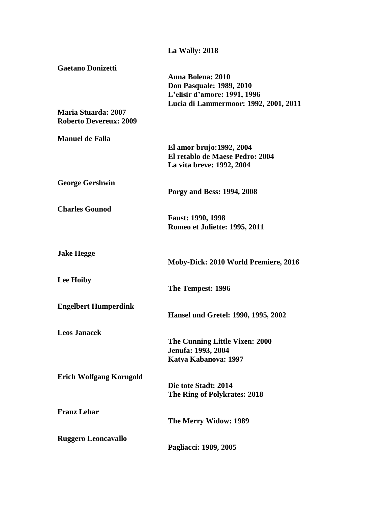|                                                                                         | La Wally: 2018                                                                                                                |
|-----------------------------------------------------------------------------------------|-------------------------------------------------------------------------------------------------------------------------------|
| <b>Gaetano Donizetti</b><br><b>Maria Stuarda: 2007</b><br><b>Roberto Devereux: 2009</b> | Anna Bolena: 2010<br><b>Don Pasquale: 1989, 2010</b><br>L'elisir d'amore: 1991, 1996<br>Lucia di Lammermoor: 1992, 2001, 2011 |
| <b>Manuel de Falla</b>                                                                  |                                                                                                                               |
|                                                                                         | El amor brujo: 1992, 2004<br>El retablo de Maese Pedro: 2004<br>La vita breve: 1992, 2004                                     |
| <b>George Gershwin</b>                                                                  | Porgy and Bess: 1994, 2008                                                                                                    |
| <b>Charles Gounod</b>                                                                   | <b>Faust: 1990, 1998</b><br>Romeo et Juliette: 1995, 2011                                                                     |
| <b>Jake Hegge</b>                                                                       | Moby-Dick: 2010 World Premiere, 2016                                                                                          |
| <b>Lee Hoiby</b>                                                                        | The Tempest: 1996                                                                                                             |
| <b>Engelbert Humperdink</b>                                                             | Hansel und Gretel: 1990, 1995, 2002                                                                                           |
| <b>Leos Janacek</b>                                                                     | The Cunning Little Vixen: 2000<br>Jenufa: 1993, 2004<br>Katya Kabanova: 1997                                                  |
| <b>Erich Wolfgang Korngold</b>                                                          | Die tote Stadt: 2014<br>The Ring of Polykrates: 2018                                                                          |
| <b>Franz Lehar</b>                                                                      | The Merry Widow: 1989                                                                                                         |
| <b>Ruggero Leoncavallo</b>                                                              | Pagliacci: 1989, 2005                                                                                                         |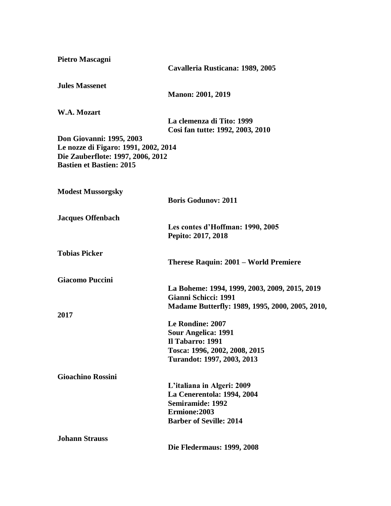| Pietro Mascagni                                                           |                                                 |
|---------------------------------------------------------------------------|-------------------------------------------------|
|                                                                           | Cavalleria Rusticana: 1989, 2005                |
| <b>Jules Massenet</b>                                                     |                                                 |
|                                                                           | <b>Manon: 2001, 2019</b>                        |
| W.A. Mozart                                                               |                                                 |
|                                                                           | La clemenza di Tito: 1999                       |
|                                                                           | Cosi fan tutte: 1992, 2003, 2010                |
| <b>Don Giovanni: 1995, 2003</b>                                           |                                                 |
| Le nozze di Figaro: 1991, 2002, 2014<br>Die Zauberflote: 1997, 2006, 2012 |                                                 |
| <b>Bastien et Bastien: 2015</b>                                           |                                                 |
|                                                                           |                                                 |
| <b>Modest Mussorgsky</b>                                                  |                                                 |
|                                                                           | <b>Boris Godunov: 2011</b>                      |
| <b>Jacques Offenbach</b>                                                  |                                                 |
|                                                                           | Les contes d'Hoffman: 1990, 2005                |
|                                                                           | Pepito: 2017, 2018                              |
| <b>Tobias Picker</b>                                                      |                                                 |
|                                                                           | Therese Raquin: 2001 – World Premiere           |
| <b>Giacomo Puccini</b>                                                    |                                                 |
|                                                                           | La Boheme: 1994, 1999, 2003, 2009, 2015, 2019   |
|                                                                           | Gianni Schicci: 1991                            |
|                                                                           | Madame Butterfly: 1989, 1995, 2000, 2005, 2010, |
| 2017                                                                      |                                                 |
|                                                                           | Le Rondine: 2007                                |
|                                                                           | <b>Sour Angelica: 1991</b>                      |
|                                                                           | Il Tabarro: 1991                                |
|                                                                           | Tosca: 1996, 2002, 2008, 2015                   |
|                                                                           | Turandot: 1997, 2003, 2013                      |
| <b>Gioachino Rossini</b>                                                  |                                                 |
|                                                                           | L'italiana in Algeri: 2009                      |
|                                                                           | La Cenerentola: 1994, 2004                      |
|                                                                           | <b>Semiramide: 1992</b>                         |
|                                                                           | Ermione:2003                                    |
|                                                                           | <b>Barber of Seville: 2014</b>                  |
| <b>Johann Strauss</b>                                                     |                                                 |
|                                                                           | <b>Die Fledermaus: 1999, 2008</b>               |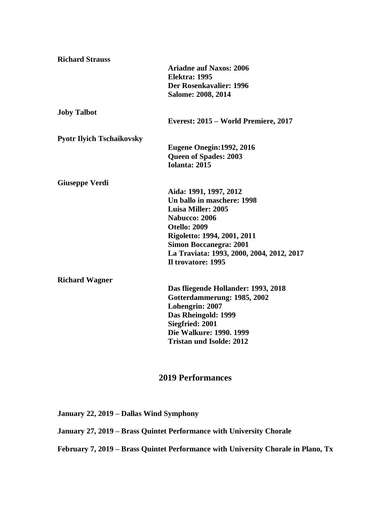| <b>Richard Strauss</b>           |                                           |
|----------------------------------|-------------------------------------------|
|                                  | <b>Ariadne auf Naxos: 2006</b>            |
|                                  | <b>Elektra: 1995</b>                      |
|                                  | Der Rosenkavalier: 1996                   |
|                                  | Salome: 2008, 2014                        |
| <b>Joby Talbot</b>               |                                           |
|                                  | Everest: 2015 – World Premiere, 2017      |
| <b>Pyotr Ilyich Tschaikovsky</b> |                                           |
|                                  | <b>Eugene Onegin: 1992, 2016</b>          |
|                                  | Queen of Spades: 2003                     |
|                                  | <b>Iolanta: 2015</b>                      |
| <b>Giuseppe Verdi</b>            |                                           |
|                                  | Aida: 1991, 1997, 2012                    |
|                                  | Un ballo in maschere: 1998                |
|                                  | <b>Luisa Miller: 2005</b>                 |
|                                  | <b>Nabucco: 2006</b>                      |
|                                  | <b>Otello: 2009</b>                       |
|                                  | Rigoletto: 1994, 2001, 2011               |
|                                  | <b>Simon Boccanegra: 2001</b>             |
|                                  | La Traviata: 1993, 2000, 2004, 2012, 2017 |
|                                  | Il trovatore: 1995                        |
| <b>Richard Wagner</b>            |                                           |
|                                  | Das fliegende Hollander: 1993, 2018       |
|                                  | Gotterdammerung: 1985, 2002               |
|                                  | Lohengrin: 2007                           |
|                                  | Das Rheingold: 1999                       |
|                                  | Siegfried: 2001                           |
|                                  | Die Walkure: 1990. 1999                   |
|                                  | <b>Tristan und Isolde: 2012</b>           |
|                                  |                                           |

## **2019 Performances**

**January 22, 2019 – Dallas Wind Symphony**

**January 27, 2019 – Brass Quintet Performance with University Chorale**

**February 7, 2019 – Brass Quintet Performance with University Chorale in Plano, Tx**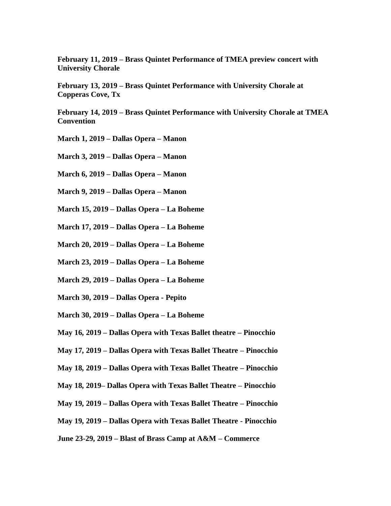**February 11, 2019 – Brass Quintet Performance of TMEA preview concert with University Chorale**

**February 13, 2019 – Brass Quintet Performance with University Chorale at Copperas Cove, Tx**

**February 14, 2019 – Brass Quintet Performance with University Chorale at TMEA Convention** 

- **March 1, 2019 – Dallas Opera – Manon**
- **March 3, 2019 – Dallas Opera – Manon**
- **March 6, 2019 – Dallas Opera – Manon**
- **March 9, 2019 – Dallas Opera – Manon**
- **March 15, 2019 – Dallas Opera – La Boheme**
- **March 17, 2019 – Dallas Opera – La Boheme**
- **March 20, 2019 – Dallas Opera – La Boheme**
- **March 23, 2019 – Dallas Opera – La Boheme**
- **March 29, 2019 – Dallas Opera – La Boheme**
- **March 30, 2019 – Dallas Opera - Pepito**
- **March 30, 2019 – Dallas Opera – La Boheme**
- **May 16, 2019 – Dallas Opera with Texas Ballet theatre – Pinocchio**
- **May 17, 2019 – Dallas Opera with Texas Ballet Theatre – Pinocchio**
- **May 18, 2019 – Dallas Opera with Texas Ballet Theatre – Pinocchio**
- **May 18, 2019– Dallas Opera with Texas Ballet Theatre – Pinocchio**
- **May 19, 2019 – Dallas Opera with Texas Ballet Theatre – Pinocchio**
- **May 19, 2019 – Dallas Opera with Texas Ballet Theatre - Pinocchio**
- **June 23-29, 2019 – Blast of Brass Camp at A&M – Commerce**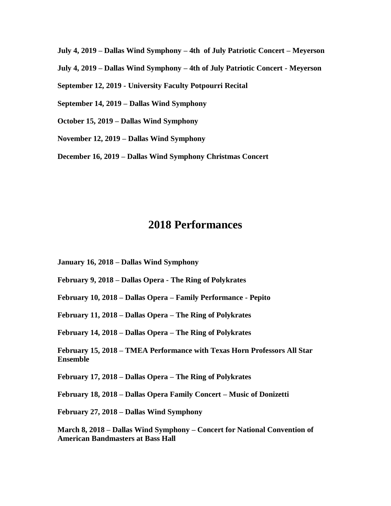**July 4, 2019 – Dallas Wind Symphony – 4th of July Patriotic Concert – Meyerson** 

**July 4, 2019 – Dallas Wind Symphony – 4th of July Patriotic Concert - Meyerson**

**September 12, 2019 - University Faculty Potpourri Recital**

**September 14, 2019 – Dallas Wind Symphony** 

**October 15, 2019 – Dallas Wind Symphony**

**November 12, 2019 – Dallas Wind Symphony**

**December 16, 2019 – Dallas Wind Symphony Christmas Concert**

# **2018 Performances**

**January 16, 2018 – Dallas Wind Symphony**

**February 9, 2018 – Dallas Opera - The Ring of Polykrates**

**February 10, 2018 – Dallas Opera – Family Performance - Pepito**

**February 11, 2018 – Dallas Opera – The Ring of Polykrates**

**February 14, 2018 – Dallas Opera – The Ring of Polykrates**

**February 15, 2018 – TMEA Performance with Texas Horn Professors All Star Ensemble**

**February 17, 2018 – Dallas Opera – The Ring of Polykrates**

**February 18, 2018 – Dallas Opera Family Concert – Music of Donizetti**

**February 27, 2018 – Dallas Wind Symphony** 

**March 8, 2018 – Dallas Wind Symphony – Concert for National Convention of American Bandmasters at Bass Hall**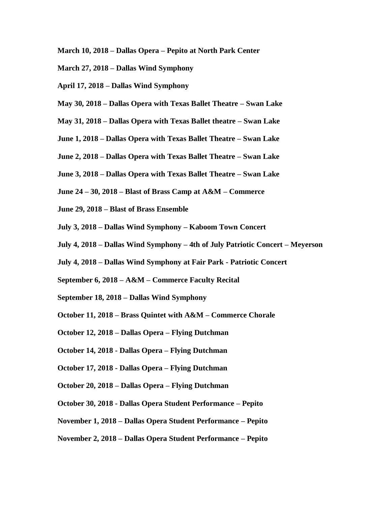- **March 10, 2018 – Dallas Opera – Pepito at North Park Center**
- **March 27, 2018 – Dallas Wind Symphony**
- **April 17, 2018 – Dallas Wind Symphony**
- **May 30, 2018 – Dallas Opera with Texas Ballet Theatre – Swan Lake**
- **May 31, 2018 – Dallas Opera with Texas Ballet theatre – Swan Lake**
- **June 1, 2018 – Dallas Opera with Texas Ballet Theatre – Swan Lake**
- **June 2, 2018 – Dallas Opera with Texas Ballet Theatre – Swan Lake**
- **June 3, 2018 – Dallas Opera with Texas Ballet Theatre – Swan Lake**
- **June 24 – 30, 2018 – Blast of Brass Camp at A&M – Commerce**
- **June 29, 2018 – Blast of Brass Ensemble**
- **July 3, 2018 – Dallas Wind Symphony – Kaboom Town Concert**
- **July 4, 2018 – Dallas Wind Symphony – 4th of July Patriotic Concert – Meyerson**
- **July 4, 2018 – Dallas Wind Symphony at Fair Park - Patriotic Concert**
- **September 6, 2018 – A&M – Commerce Faculty Recital**
- **September 18, 2018 – Dallas Wind Symphony**
- **October 11, 2018 – Brass Quintet with A&M – Commerce Chorale**
- **October 12, 2018 – Dallas Opera – Flying Dutchman**
- **October 14, 2018 - Dallas Opera – Flying Dutchman**
- **October 17, 2018 - Dallas Opera – Flying Dutchman**
- **October 20, 2018 – Dallas Opera – Flying Dutchman**
- **October 30, 2018 - Dallas Opera Student Performance – Pepito**
- **November 1, 2018 – Dallas Opera Student Performance – Pepito**

#### **November 2, 2018 – Dallas Opera Student Performance – Pepito**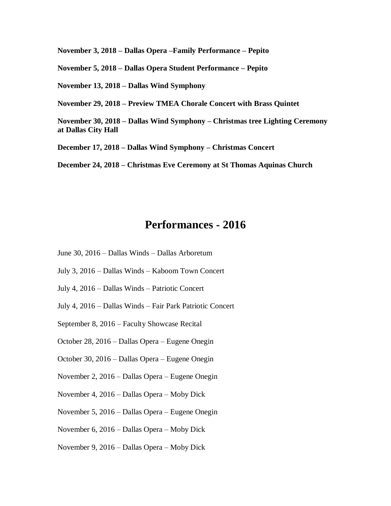**November 3, 2018 – Dallas Opera –Family Performance – Pepito** 

**November 5, 2018 – Dallas Opera Student Performance – Pepito** 

**November 13, 2018 – Dallas Wind Symphony** 

**November 29, 2018 – Preview TMEA Chorale Concert with Brass Quintet**

**November 30, 2018 – Dallas Wind Symphony – Christmas tree Lighting Ceremony at Dallas City Hall**

**December 17, 2018 – Dallas Wind Symphony – Christmas Concert**

**December 24, 2018 – Christmas Eve Ceremony at St Thomas Aquinas Church**

# **Performances - 2016**

- June 30, 2016 Dallas Winds Dallas Arboretum
- July 3, 2016 Dallas Winds Kaboom Town Concert
- July 4, 2016 Dallas Winds Patriotic Concert
- July 4, 2016 Dallas Winds Fair Park Patriotic Concert
- September 8, 2016 Faculty Showcase Recital
- October 28, 2016 Dallas Opera Eugene Onegin
- October 30, 2016 Dallas Opera Eugene Onegin
- November 2, 2016 Dallas Opera Eugene Onegin
- November 4, 2016 Dallas Opera Moby Dick
- November 5, 2016 Dallas Opera Eugene Onegin
- November 6, 2016 Dallas Opera Moby Dick
- November 9, 2016 Dallas Opera Moby Dick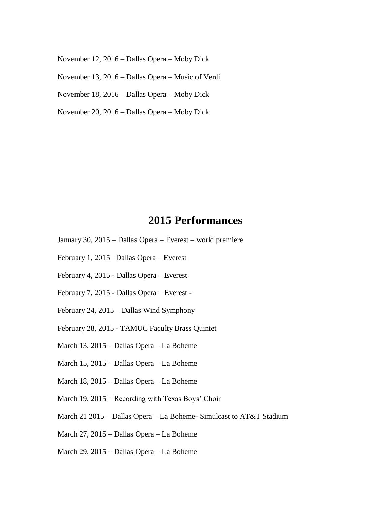November 12, 2016 – Dallas Opera – Moby Dick

November 13, 2016 – Dallas Opera – Music of Verdi

November 18, 2016 – Dallas Opera – Moby Dick

November 20, 2016 – Dallas Opera – Moby Dick

# **2015 Performances**

- January 30, 2015 Dallas Opera Everest world premiere
- February 1, 2015– Dallas Opera Everest
- February 4, 2015 Dallas Opera Everest
- February 7, 2015 Dallas Opera Everest -
- February 24, 2015 Dallas Wind Symphony
- February 28, 2015 TAMUC Faculty Brass Quintet
- March 13, 2015 Dallas Opera La Boheme
- March 15, 2015 Dallas Opera La Boheme
- March 18, 2015 Dallas Opera La Boheme
- March 19, 2015 Recording with Texas Boys' Choir
- March 21 2015 Dallas Opera La Boheme- Simulcast to AT&T Stadium
- March 27, 2015 Dallas Opera La Boheme
- March 29, 2015 Dallas Opera La Boheme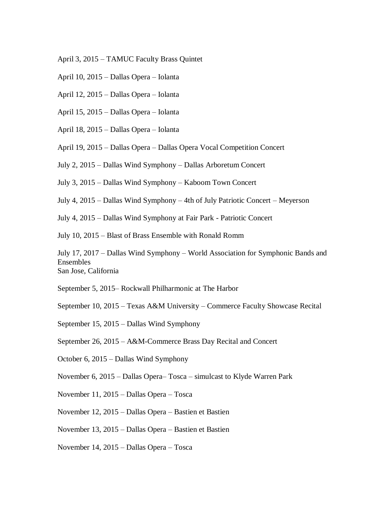- April 3, 2015 TAMUC Faculty Brass Quintet
- April 10, 2015 Dallas Opera Iolanta
- April 12, 2015 Dallas Opera Iolanta
- April 15, 2015 Dallas Opera Iolanta
- April 18, 2015 Dallas Opera Iolanta

April 19, 2015 – Dallas Opera – Dallas Opera Vocal Competition Concert

- July 2, 2015 Dallas Wind Symphony Dallas Arboretum Concert
- July 3, 2015 Dallas Wind Symphony Kaboom Town Concert
- July 4, 2015 Dallas Wind Symphony 4th of July Patriotic Concert Meyerson
- July 4, 2015 Dallas Wind Symphony at Fair Park Patriotic Concert
- July 10, 2015 Blast of Brass Ensemble with Ronald Romm

July 17, 2017 – Dallas Wind Symphony – World Association for Symphonic Bands and Ensembles San Jose, California

September 5, 2015– Rockwall Philharmonic at The Harbor

September 10, 2015 – Texas A&M University – Commerce Faculty Showcase Recital

- September 15, 2015 Dallas Wind Symphony
- September 26, 2015 A&M-Commerce Brass Day Recital and Concert
- October 6, 2015 Dallas Wind Symphony
- November 6, 2015 Dallas Opera– Tosca simulcast to Klyde Warren Park
- November 11, 2015 Dallas Opera Tosca
- November 12, 2015 Dallas Opera Bastien et Bastien
- November 13, 2015 Dallas Opera Bastien et Bastien
- November 14, 2015 Dallas Opera Tosca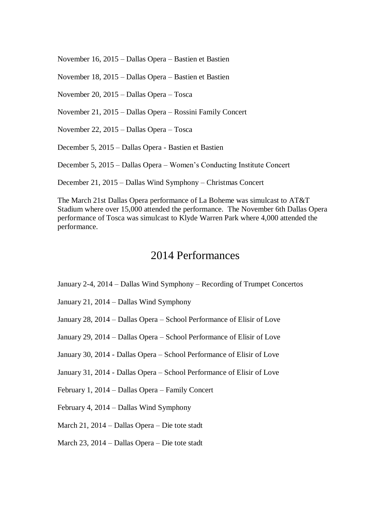November 16, 2015 – Dallas Opera – Bastien et Bastien

November 18, 2015 – Dallas Opera – Bastien et Bastien

November 20, 2015 – Dallas Opera – Tosca

November 21, 2015 – Dallas Opera – Rossini Family Concert

November 22, 2015 – Dallas Opera – Tosca

December 5, 2015 – Dallas Opera - Bastien et Bastien

December 5, 2015 – Dallas Opera – Women's Conducting Institute Concert

December 21, 2015 – Dallas Wind Symphony – Christmas Concert

The March 21st Dallas Opera performance of La Boheme was simulcast to AT&T Stadium where over 15,000 attended the performance. The November 6th Dallas Opera performance of Tosca was simulcast to Klyde Warren Park where 4,000 attended the performance.

# 2014 Performances

- January 2-4, 2014 Dallas Wind Symphony Recording of Trumpet Concertos
- January 21, 2014 Dallas Wind Symphony
- January 28, 2014 Dallas Opera School Performance of Elisir of Love
- January 29, 2014 Dallas Opera School Performance of Elisir of Love
- January 30, 2014 Dallas Opera School Performance of Elisir of Love
- January 31, 2014 Dallas Opera School Performance of Elisir of Love
- February 1, 2014 Dallas Opera Family Concert
- February 4, 2014 Dallas Wind Symphony
- March 21, 2014 Dallas Opera Die tote stadt
- March 23, 2014 Dallas Opera Die tote stadt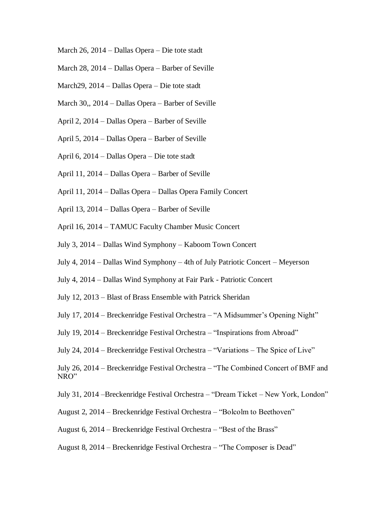- March 26, 2014 Dallas Opera Die tote stadt
- March 28, 2014 Dallas Opera Barber of Seville
- March29, 2014 Dallas Opera Die tote stadt
- March 30,, 2014 Dallas Opera Barber of Seville
- April 2, 2014 Dallas Opera Barber of Seville
- April 5, 2014 Dallas Opera Barber of Seville
- April 6, 2014 Dallas Opera Die tote stadt
- April 11, 2014 Dallas Opera Barber of Seville
- April 11, 2014 Dallas Opera Dallas Opera Family Concert
- April 13, 2014 Dallas Opera Barber of Seville
- April 16, 2014 TAMUC Faculty Chamber Music Concert
- July 3, 2014 Dallas Wind Symphony Kaboom Town Concert
- July 4, 2014 Dallas Wind Symphony 4th of July Patriotic Concert Meyerson
- July 4, 2014 Dallas Wind Symphony at Fair Park Patriotic Concert
- July 12, 2013 Blast of Brass Ensemble with Patrick Sheridan
- July 17, 2014 Breckenridge Festival Orchestra "A Midsummer's Opening Night"
- July 19, 2014 Breckenridge Festival Orchestra "Inspirations from Abroad"
- July 24, 2014 Breckenridge Festival Orchestra "Variations The Spice of Live"

July 26, 2014 – Breckenridge Festival Orchestra – "The Combined Concert of BMF and NRO"

- July 31, 2014 –Breckenridge Festival Orchestra "Dream Ticket New York, London"
- August 2, 2014 Breckenridge Festival Orchestra "Bolcolm to Beethoven"
- August 6, 2014 Breckenridge Festival Orchestra "Best of the Brass"
- August 8, 2014 Breckenridge Festival Orchestra "The Composer is Dead"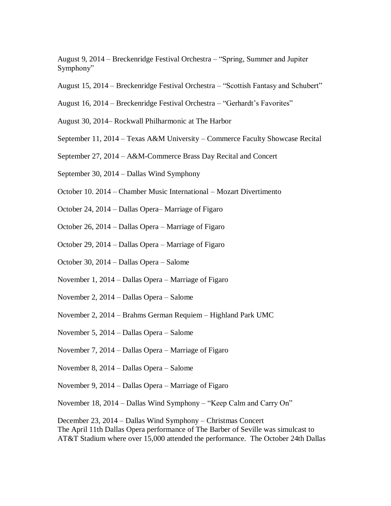August 9, 2014 – Breckenridge Festival Orchestra – "Spring, Summer and Jupiter Symphony"

- August 15, 2014 Breckenridge Festival Orchestra "Scottish Fantasy and Schubert"
- August 16, 2014 Breckenridge Festival Orchestra "Gerhardt's Favorites"
- August 30, 2014– Rockwall Philharmonic at The Harbor
- September 11, 2014 Texas A&M University Commerce Faculty Showcase Recital
- September 27, 2014 A&M-Commerce Brass Day Recital and Concert
- September 30, 2014 Dallas Wind Symphony
- October 10. 2014 Chamber Music International Mozart Divertimento
- October 24, 2014 Dallas Opera– Marriage of Figaro
- October 26, 2014 Dallas Opera Marriage of Figaro
- October 29, 2014 Dallas Opera Marriage of Figaro
- October 30, 2014 Dallas Opera Salome
- November 1, 2014 Dallas Opera Marriage of Figaro
- November 2, 2014 Dallas Opera Salome
- November 2, 2014 Brahms German Requiem Highland Park UMC
- November 5, 2014 Dallas Opera Salome
- November 7, 2014 Dallas Opera Marriage of Figaro
- November 8, 2014 Dallas Opera Salome
- November 9, 2014 Dallas Opera Marriage of Figaro
- November 18, 2014 Dallas Wind Symphony "Keep Calm and Carry On"

December 23, 2014 – Dallas Wind Symphony – Christmas Concert The April 11th Dallas Opera performance of The Barber of Seville was simulcast to AT&T Stadium where over 15,000 attended the performance. The October 24th Dallas